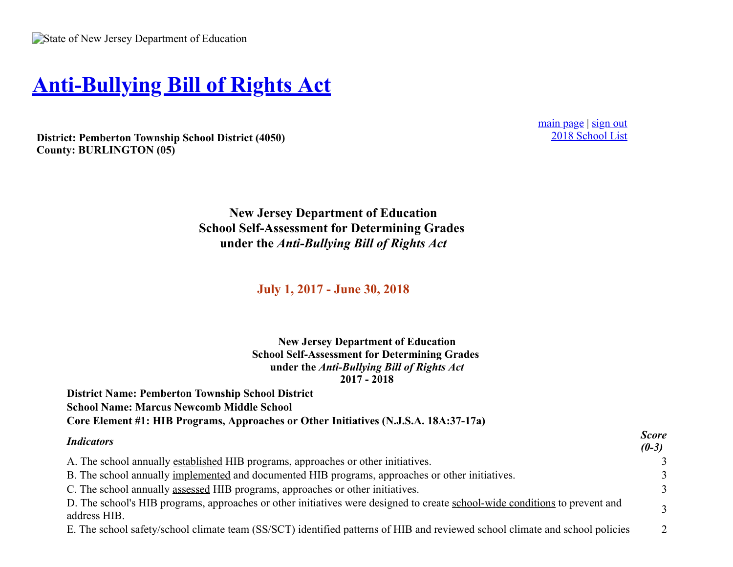## **[Anti-Bullying Bill of Rights Act](https://homeroom5.doe.state.nj.us/abrd/)**

**District: Pemberton Township School District (4050) County: BURLINGTON (05)**

[main page](https://homeroom5.doe.state.nj.us/abrd/) | [sign out](https://homeroom5.doe.state.nj.us/abrd/signout.php) [2018 School List](https://homeroom5.doe.state.nj.us/abrd/2018/)

**New Jersey Department of Education School Self-Assessment for Determining Grades under the** *Anti-Bullying Bill of Rights Act*

**July 1, 2017 - June 30, 2018**

**New Jersey Department of Education School Self-Assessment for Determining Grades under the** *Anti-Bullying Bill of Rights Act* **2017 - 2018**

**District Name: Pemberton Township School District School Name: Marcus Newcomb Middle School Core Element #1: HIB Programs, Approaches or Other Initiatives (N.J.S.A. 18A:37-17a)**

| <b>Indicators</b>                                                                                                                           | <b>Score</b><br>$(0-3)$ |
|---------------------------------------------------------------------------------------------------------------------------------------------|-------------------------|
| A. The school annually established HIB programs, approaches or other initiatives.                                                           | 3                       |
| B. The school annually implemented and documented HIB programs, approaches or other initiatives.                                            | 3                       |
| C. The school annually assessed HIB programs, approaches or other initiatives.                                                              | 3                       |
| D. The school's HIB programs, approaches or other initiatives were designed to create school-wide conditions to prevent and<br>address HIB. | 3                       |
| E. The school safety/school climate team (SS/SCT) identified patterns of HIB and reviewed school climate and school policies                | 2                       |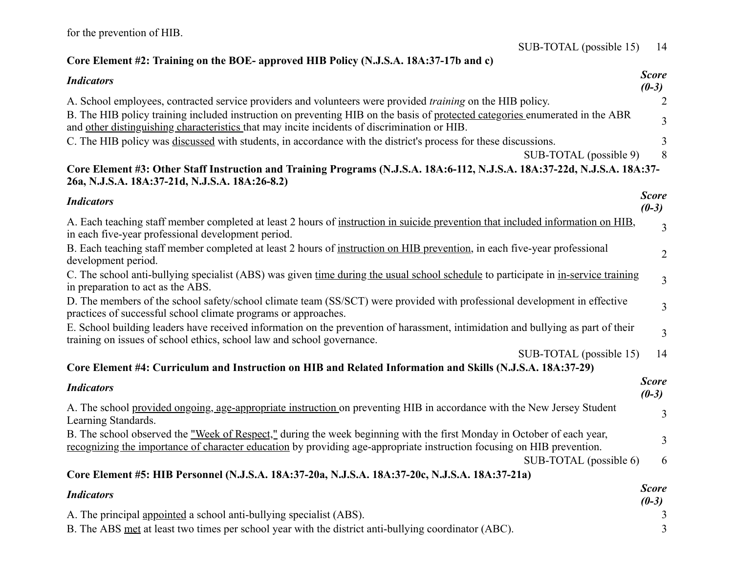## **Core Element #2: Training on the BOE- approved HIB Policy (N.J.S.A. 18A:37-17b and c)**

| <b>Indicators</b>                                                                                                                                                                                                                                | <b>Score</b><br>$(0-3)$ |
|--------------------------------------------------------------------------------------------------------------------------------------------------------------------------------------------------------------------------------------------------|-------------------------|
| A. School employees, contracted service providers and volunteers were provided <i>training</i> on the HIB policy.                                                                                                                                | $\overline{2}$          |
| B. The HIB policy training included instruction on preventing HIB on the basis of protected categories enumerated in the ABR<br>and other distinguishing characteristics that may incite incidents of discrimination or HIB.                     | 3                       |
| C. The HIB policy was discussed with students, in accordance with the district's process for these discussions.                                                                                                                                  | 3                       |
| SUB-TOTAL (possible 9)                                                                                                                                                                                                                           | 8                       |
| Core Element #3: Other Staff Instruction and Training Programs (N.J.S.A. 18A:6-112, N.J.S.A. 18A:37-22d, N.J.S.A. 18A:37-<br>26a, N.J.S.A. 18A:37-21d, N.J.S.A. 18A:26-8.2)                                                                      |                         |
| <b>Indicators</b>                                                                                                                                                                                                                                | <b>Score</b><br>$(0-3)$ |
| A. Each teaching staff member completed at least 2 hours of instruction in suicide prevention that included information on HIB,<br>in each five-year professional development period.                                                            | 3                       |
| B. Each teaching staff member completed at least 2 hours of instruction on HIB prevention, in each five-year professional<br>development period.                                                                                                 | $\overline{2}$          |
| C. The school anti-bullying specialist (ABS) was given time during the usual school schedule to participate in in-service training<br>in preparation to act as the ABS.                                                                          | $\overline{3}$          |
| D. The members of the school safety/school climate team (SS/SCT) were provided with professional development in effective<br>practices of successful school climate programs or approaches.                                                      | $\overline{3}$          |
| E. School building leaders have received information on the prevention of harassment, intimidation and bullying as part of their<br>training on issues of school ethics, school law and school governance.                                       | $\overline{3}$          |
| SUB-TOTAL (possible 15)                                                                                                                                                                                                                          | 14                      |
| Core Element #4: Curriculum and Instruction on HIB and Related Information and Skills (N.J.S.A. 18A:37-29)                                                                                                                                       |                         |
| <b>Indicators</b>                                                                                                                                                                                                                                | <b>Score</b><br>$(0-3)$ |
| A. The school provided ongoing, age-appropriate instruction on preventing HIB in accordance with the New Jersey Student<br>Learning Standards.                                                                                                   | 3                       |
| B. The school observed the "Week of Respect," during the week beginning with the first Monday in October of each year,<br>recognizing the importance of character education by providing age-appropriate instruction focusing on HIB prevention. | 3                       |
| SUB-TOTAL (possible 6)                                                                                                                                                                                                                           | 6                       |
| Core Element #5: HIB Personnel (N.J.S.A. 18A:37-20a, N.J.S.A. 18A:37-20c, N.J.S.A. 18A:37-21a)                                                                                                                                                   |                         |
| <b>Indicators</b>                                                                                                                                                                                                                                | <b>Score</b><br>$(0-3)$ |
| A. The principal appointed a school anti-bullying specialist (ABS).                                                                                                                                                                              | 3                       |

B. The ABS met at least two times per school year with the district anti-bullying coordinator (ABC). 3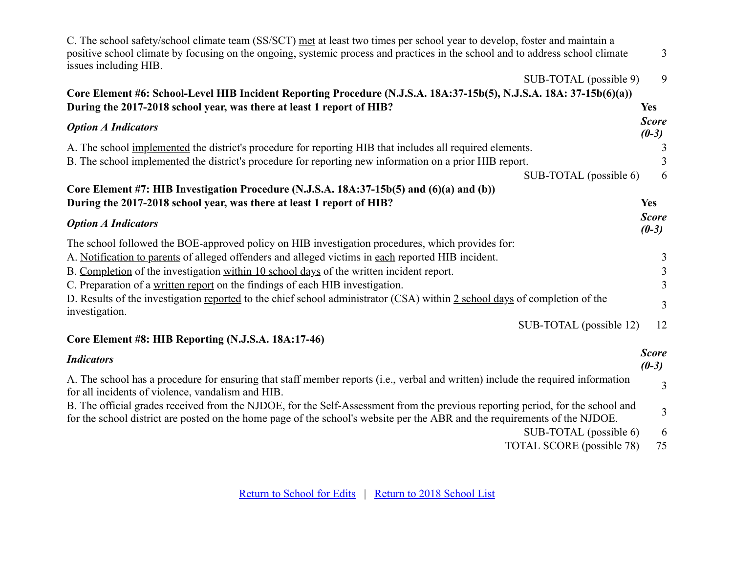| C. The school safety/school climate team (SS/SCT) met at least two times per school year to develop, foster and maintain a<br>positive school climate by focusing on the ongoing, systemic process and practices in the school and to address school climate<br>issues including HIB. | $\mathfrak{Z}$          |
|---------------------------------------------------------------------------------------------------------------------------------------------------------------------------------------------------------------------------------------------------------------------------------------|-------------------------|
| SUB-TOTAL (possible 9)                                                                                                                                                                                                                                                                | 9                       |
| Core Element #6: School-Level HIB Incident Reporting Procedure (N.J.S.A. 18A:37-15b(5), N.J.S.A. 18A: 37-15b(6)(a))                                                                                                                                                                   |                         |
| During the 2017-2018 school year, was there at least 1 report of HIB?                                                                                                                                                                                                                 | <b>Yes</b>              |
| <b>Option A Indicators</b>                                                                                                                                                                                                                                                            | <b>Score</b><br>$(0-3)$ |
| A. The school implemented the district's procedure for reporting HIB that includes all required elements.                                                                                                                                                                             | 3                       |
| B. The school implemented the district's procedure for reporting new information on a prior HIB report.                                                                                                                                                                               | 3                       |
| SUB-TOTAL (possible 6)                                                                                                                                                                                                                                                                | 6                       |
| Core Element #7: HIB Investigation Procedure (N.J.S.A. 18A:37-15b(5) and (6)(a) and (b))                                                                                                                                                                                              |                         |
| During the 2017-2018 school year, was there at least 1 report of HIB?                                                                                                                                                                                                                 | <b>Yes</b>              |
| <b>Option A Indicators</b>                                                                                                                                                                                                                                                            | <b>Score</b><br>$(0-3)$ |
| The school followed the BOE-approved policy on HIB investigation procedures, which provides for:                                                                                                                                                                                      |                         |
| A. Notification to parents of alleged offenders and alleged victims in each reported HIB incident.                                                                                                                                                                                    | 3                       |
| B. Completion of the investigation within 10 school days of the written incident report.                                                                                                                                                                                              | $\overline{\mathbf{3}}$ |
| C. Preparation of a written report on the findings of each HIB investigation.                                                                                                                                                                                                         | $\overline{3}$          |
| D. Results of the investigation reported to the chief school administrator (CSA) within 2 school days of completion of the<br>investigation.                                                                                                                                          | $\overline{3}$          |
| SUB-TOTAL (possible 12)                                                                                                                                                                                                                                                               | 12                      |
| Core Element #8: HIB Reporting (N.J.S.A. 18A:17-46)                                                                                                                                                                                                                                   |                         |
| <b>Indicators</b>                                                                                                                                                                                                                                                                     | <b>Score</b><br>$(0-3)$ |
| A. The school has a procedure for ensuring that staff member reports (i.e., verbal and written) include the required information<br>for all incidents of violence, vandalism and HIB.                                                                                                 | $\overline{3}$          |
| B. The official grades received from the NJDOE, for the Self-Assessment from the previous reporting period, for the school and<br>for the school district are posted on the home page of the school's website per the ABR and the requirements of the NJDOE.                          | 3                       |
| SUB-TOTAL (possible 6)<br>TOTAL SCORE (possible 78)                                                                                                                                                                                                                                   | 6<br>75                 |
|                                                                                                                                                                                                                                                                                       |                         |

[Return to School for Edits](https://homeroom5.doe.state.nj.us/abrd/2018/resend.php?s=302;n=Marcus%20Newcomb%20Middle%20School) | [Return to 2018 School List](https://homeroom5.doe.state.nj.us/abrd/2018/)